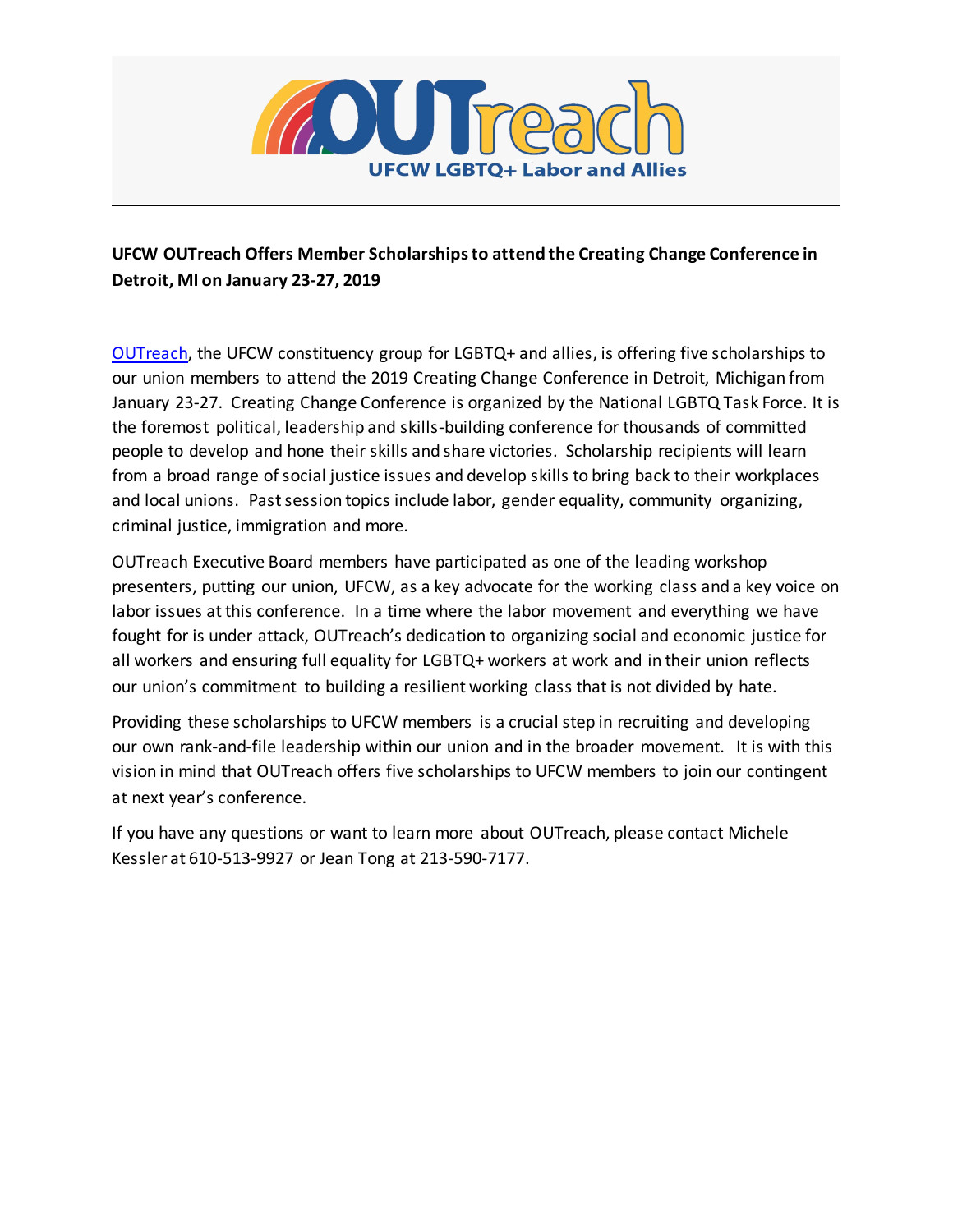

**UFCW OUTreach Offers Member Scholarships to attend the Creating Change Conference in Detroit, MI on January 23-27, 2019**

[OUTreach,](http://ufcwoutreach.org/) the UFCW constituency group for LGBTQ+ and allies, is offering five scholarships to our union members to attend the 2019 Creating Change Conference in Detroit, Michigan from January 23-27. Creating Change Conference is organized by the National LGBTQ Task Force. It is the foremost political, leadership and skills-building conference for thousands of committed people to develop and hone their skills and share victories. Scholarship recipients will learn from a broad range of social justice issues and develop skills to bring back to their workplaces and local unions. Past session topics include labor, gender equality, community organizing, criminal justice, immigration and more.

OUTreach Executive Board members have participated as one of the leading workshop presenters, putting our union, UFCW, as a key advocate for the working class and a key voice on labor issues at this conference. In a time where the labor movement and everything we have fought for is under attack, OUTreach's dedication to organizing social and economic justice for all workers and ensuring full equality for LGBTQ+ workers at work and in their union reflects our union's commitment to building a resilient working class that is not divided by hate.

Providing these scholarships to UFCW members is a crucial step in recruiting and developing our own rank-and-file leadership within our union and in the broader movement. It is with this vision in mind that OUTreach offers five scholarships to UFCW members to join our contingent at next year's conference.

If you have any questions or want to learn more about OUTreach, please contact Michele Kessler at 610-513-9927 or Jean Tong at 213-590-7177.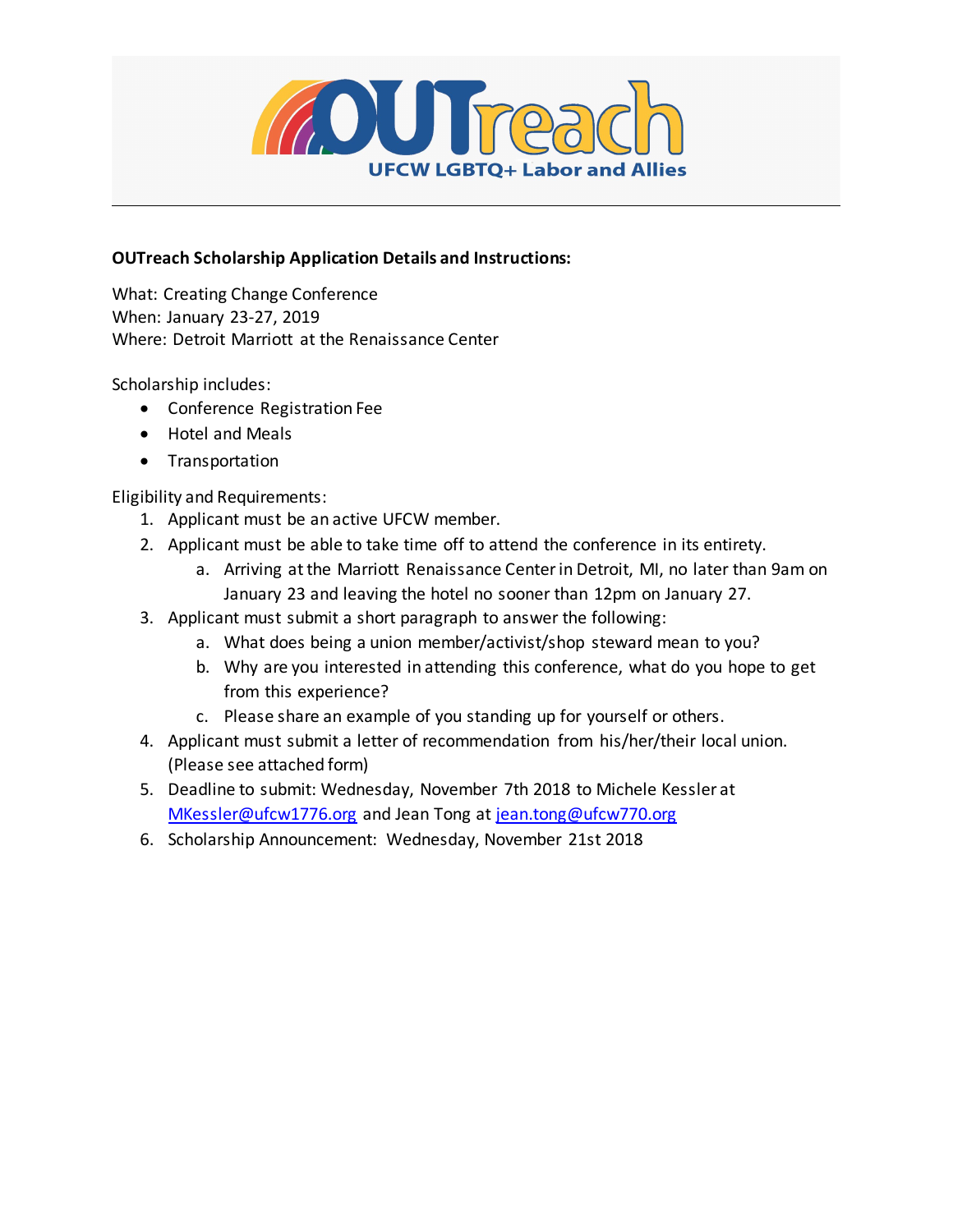

## **OUTreach Scholarship Application Details and Instructions:**

What: Creating Change Conference When: January 23-27, 2019 Where: Detroit Marriott at the Renaissance Center

Scholarship includes:

- Conference Registration Fee
- Hotel and Meals
- Transportation

Eligibility and Requirements:

- 1. Applicant must be an active UFCW member.
- 2. Applicant must be able to take time off to attend the conference in its entirety.
	- a. Arriving at the Marriott Renaissance Center in Detroit, MI, no later than 9am on January 23 and leaving the hotel no sooner than 12pm on January 27.
- 3. Applicant must submit a short paragraph to answer the following:
	- a. What does being a union member/activist/shop steward mean to you?
	- b. Why are you interested in attending this conference, what do you hope to get from this experience?
	- c. Please share an example of you standing up for yourself or others.
- 4. Applicant must submit a letter of recommendation from his/her/their local union. (Please see attached form)
- 5. Deadline to submit: Wednesday, November 7th 2018 to Michele Kessler at [MKessler@ufcw1776.org](mailto:MKessler@ufcw1776.org) and Jean Tong at [jean.tong@ufcw770.org](mailto:jean.tong@ufcw770.org)
- 6. Scholarship Announcement: Wednesday, November 21st 2018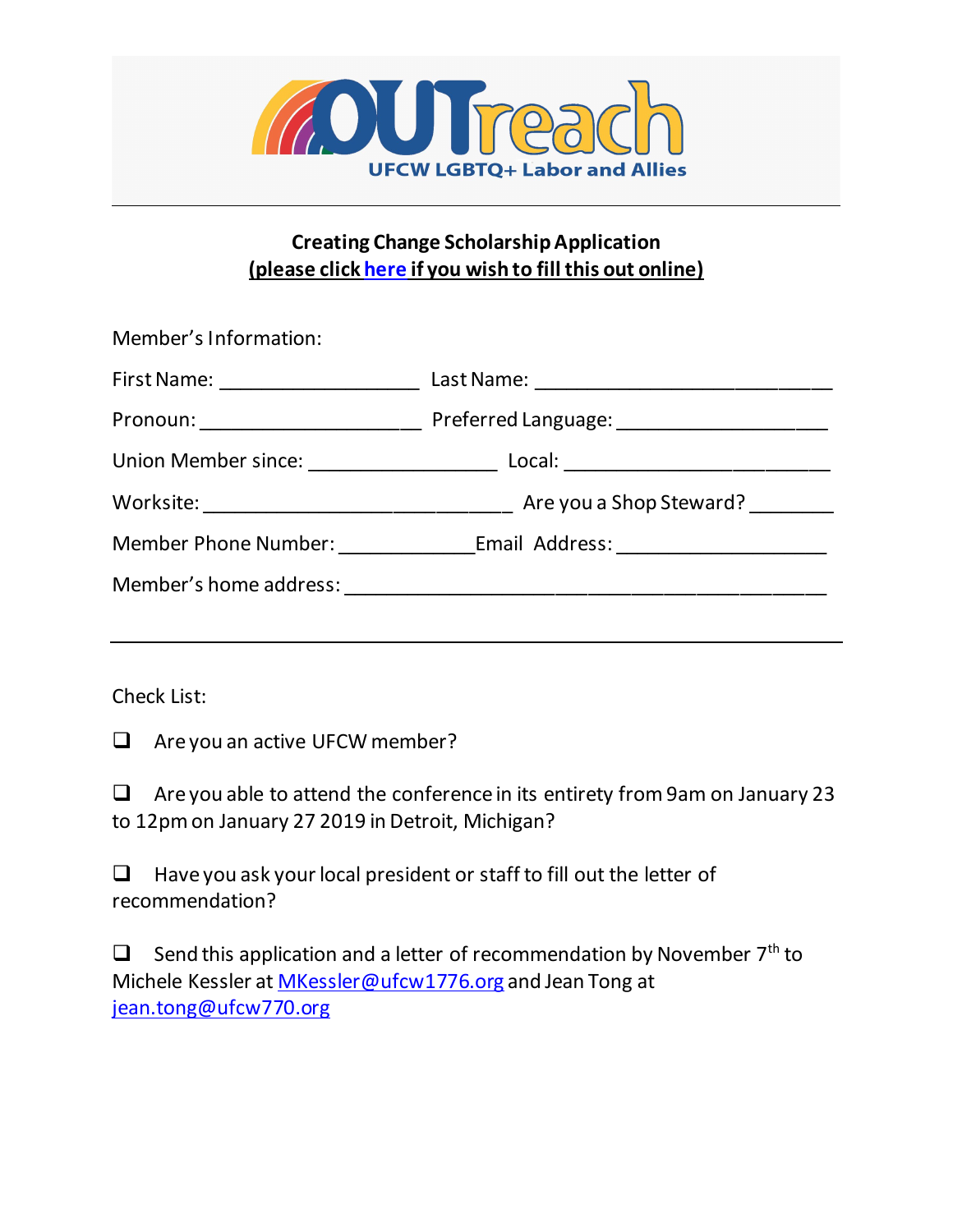

## **Creating Change Scholarship Application (please click [here](https://docs.google.com/a/ufcw770.org/forms/d/18tGcFHsFuXMb2COYwakC77FY2JNwH0B5efuahXaWXZI/prefill) if you wish to fill this out online)**

| First Name: _____________________                                                 |  |  |
|-----------------------------------------------------------------------------------|--|--|
|                                                                                   |  |  |
| Union Member since: _________________________________Local: _____________________ |  |  |
|                                                                                   |  |  |
|                                                                                   |  |  |
|                                                                                   |  |  |
|                                                                                   |  |  |

Check List:

 $\Box$  Are you an active UFCW member?

 $\Box$  Are you able to attend the conference in its entirety from 9am on January 23 to 12pm on January 27 2019 in Detroit, Michigan?

 $\Box$  Have you ask your local president or staff to fill out the letter of recommendation?

 $\square$  Send this application and a letter of recommendation by November 7<sup>th</sup> to Michele Kessler at [MKessler@ufcw1776.org](mailto:MKessler@ufcw1776.org) and Jean Tong at [jean.tong@ufcw770.org](mailto:jean.tong@ufcw770.org)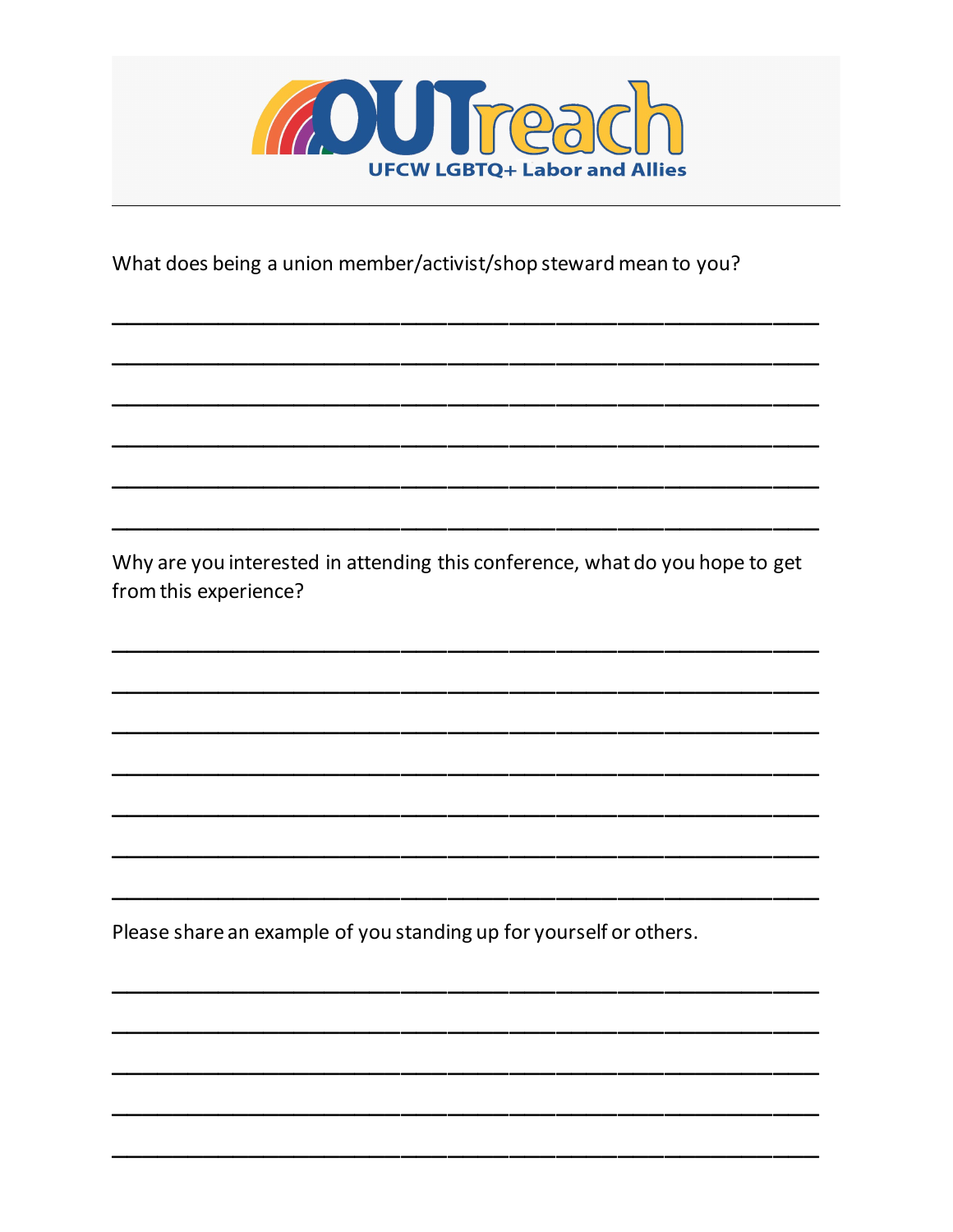

What does being a union member/activist/shop steward mean to you?

Why are you interested in attending this conference, what do you hope to get from this experience?

Please share an example of you standing up for yourself or others.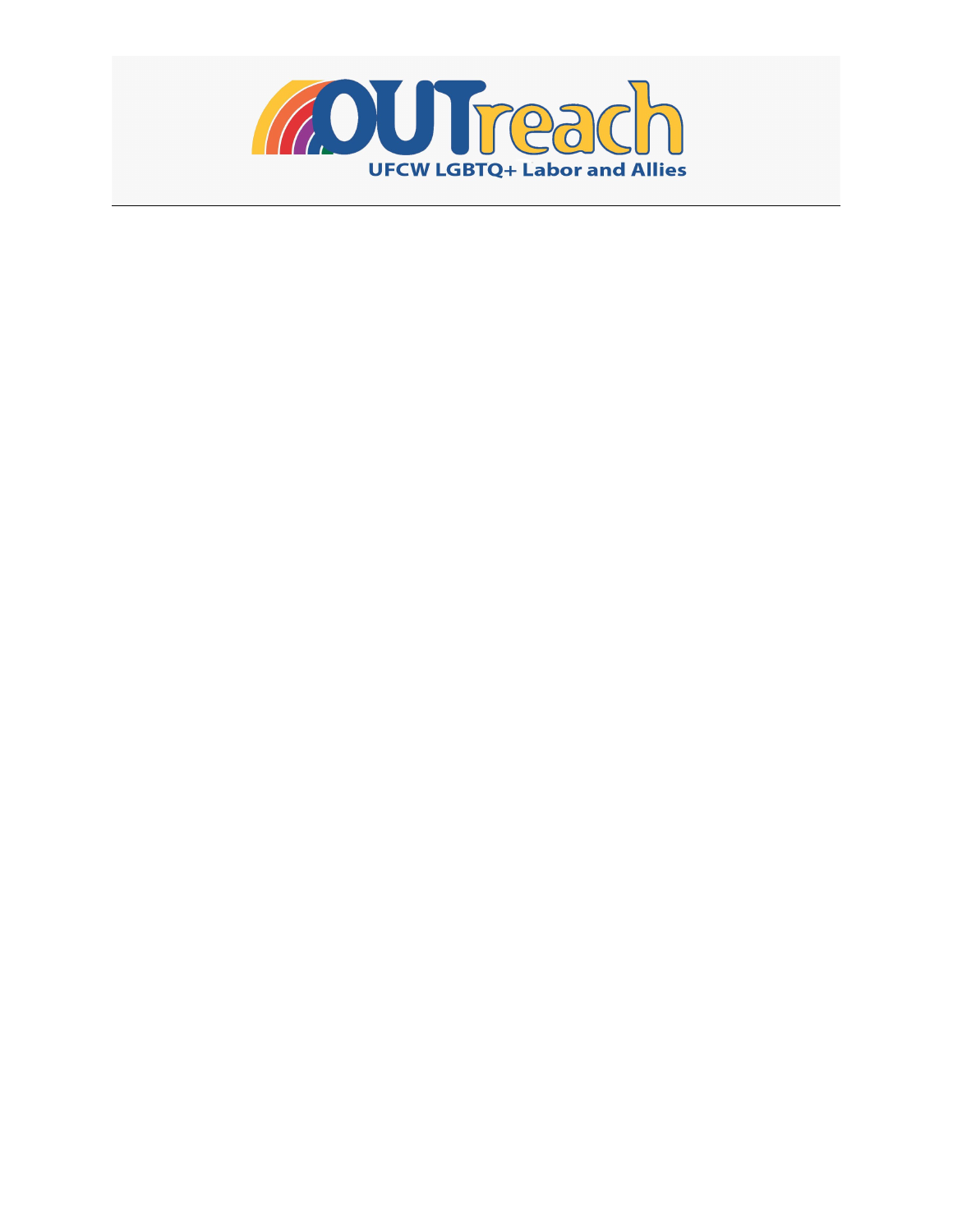